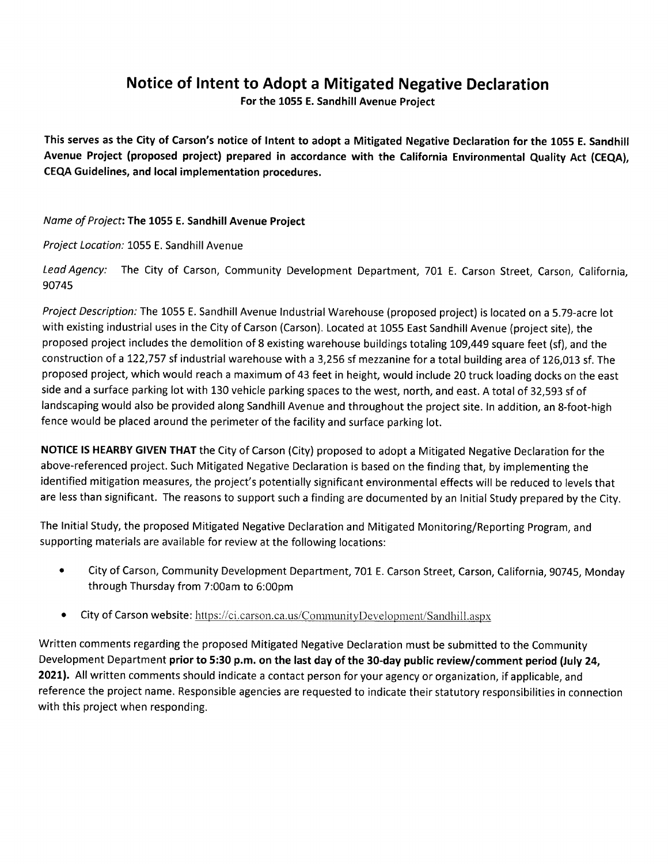## Notice of Intent to Adopt a Mitigated Negative Declaration

For the 1055 E. Sandhill Avenue Project

This serves as the City of Carson's notice of Intent to adopt a Mitigated Negative Declaration for the 1055 E. Sandhill Avenue Project (proposed project) prepared in accordance with the California Environmental Quality Act (CEQA), CEQA Guidelines, and local implementation procedures.

## Name of Project: The 1055 E. Sandhill Avenue Project

Project Location: 1055 E. Sandhill Avenue

Lead Agency: The City of Carson, Community Development Department, 701 E. Carson Street, Carson, California, 90745

Project Description: The 1055 E. Sandhill Avenue Industrial Warehouse (proposed project) is located on <sup>a</sup> 5.79-acre lot with existing industrial uses in the City of Carson (Carson). Located at 1055 East Sandhill Avenue (project site), the proposed project includes the demolition of 8 existing warehouse buildings totaling 109,449 square feet (sf), and the construction of a 122,757 sf industrial warehouse with a 3,256 sf mezzanine for a total building area of 126,013 sf. The proposed project, which would reach a maximum of 43 feet in height, would include 20 truck loading docks on the east side and a surface parking lot with 130 vehicle parking spaces to the west, north, and east. A total of 32,593 sf of landscaping would also be provided along Sandhill Avenue and throughout the project site. In addition, an 8-foot-high fence would be placed around the perimeter of the facility and surface parking lot.

NOTICE IS HEARBY GIVEN THAT the City of Carson (City) proposed to adopt a Mitigated Negative Declaration for the above-referenced project. Such Mitigated Negative Declaration is based on the finding that, by implementing the identified mitigation measures, the project's potentially significant environmental effects will be reduced to levels that are less than significant. The reasons to support such a finding are documented by an Initial Study prepared by the City.

The Initial Study, the proposed Mitigated Negative Declaration and Mitigated Monitoring/Reporting Program, and supporting materials are available for review at the following locations:

- ° City of Carson, Community Development Department, 701 E. Carson Street, Carson, California, 90745, Monday through Thursday from 7:00am to 6:00pm
- City of Carson website: https://ci.carson.ca.us/CommunityDevelopment/Sandhill.aspx

Written comments regarding the proposed Mitigated Negative Declaration must be submitted to the Community Development Department prior to 5:30 p.m. on the last day of the 30-day public review/comment period (July 24, 2021). All written comments should indicate a contact person for your agency or organization, if applicable, and reference the project name. Responsible agencies are requested to indicate their statutory responsibilities in connection with this project when responding.